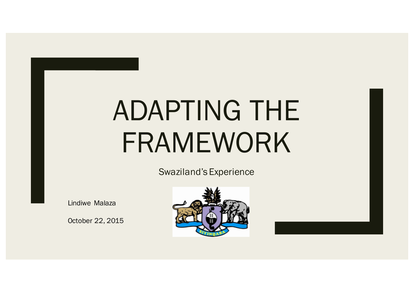# ADAPTING THE FRAMEWORK

Swaziland's Experience

Lindiwe Malaza

October 22, 2015

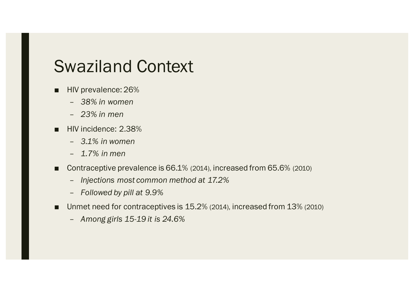## Swaziland Context

- HIV prevalence: 26%
	- *38% in women*
	- *23% in men*
- HIV incidence: 2.38%
	- *3.1% in women*
	- *1.7% in men*
- Contraceptive prevalence is 66.1% (2014), increased from 65.6% (2010)
	- *Injections most common method at 17.2%*
	- *Followed by pill at 9.9%*
- Unmet need for contraceptives is 15.2% (2014), increased from 13% (2010)
	- *Among girls 15-19 it is 24.6%*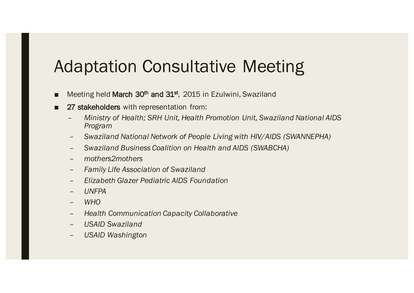## Adaptation Consultative Meeting

- Meeting held March 30<sup>th</sup> and 31<sup>st</sup>, 2015 in Ezulwini, Swaziland
- 27 stakeholders with representation from:
	- *Ministry of Health; SRH Unit, Health Promotion Unit, Swaziland National AIDS Program*
	- *Swaziland National Network of People Living with HIV/AIDS (SWANNEPHA)*
	- *Swaziland Business Coalition on Health and AIDS (SWABCHA)*
	- *mothers2mothers*
	- *Family Life Association of Swaziland*
	- *Elizabeth Glazer Pediatric AIDS Foundation*
	- *UNFPA*
	- *WHO*
	- *Health Communication Capacity Collaborative*
	- *USAID Swaziland*
	- *USAID Washington*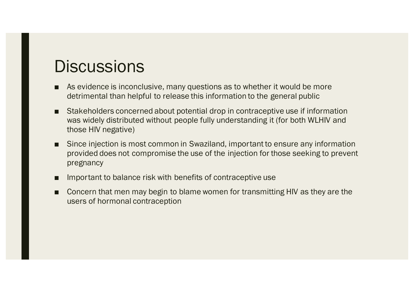## **Discussions**

- As evidence is inconclusive, many questions as to whether it would be more detrimental than helpful to release this information to the general public
- Stakeholders concerned about potential drop in contraceptive use if information was widely distributed without people fully understanding it (for both WLHIV and those HIV negative)
- Since injection is most common in Swaziland, important to ensure any information provided does not compromise the use of the injection for those seeking to prevent pregnancy
- Important to balance risk with benefits of contraceptive use
- Concern that men may begin to blame women for transmitting HIV as they are the users of hormonal contraception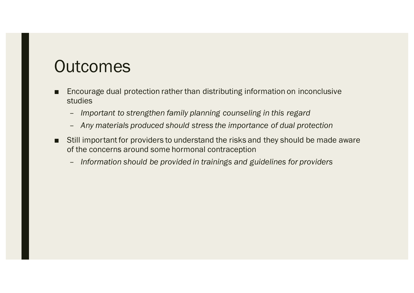# **Outcomes**

- Encourage dual protection rather than distributing information on inconclusive studies
	- *Important to strengthen family planning counseling in this regard*
	- *Any materials produced should stress the importance of dual protection*
- Still important for providers to understand the risks and they should be made aware of the concerns around some hormonal contraception
	- *Information should be provided in trainings and guidelines for providers*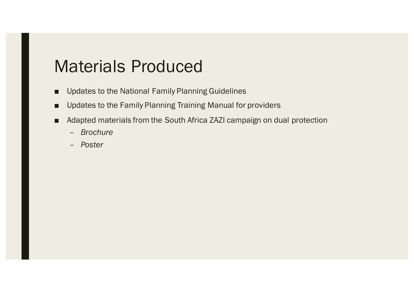### Materials Produced

- Updates to the National Family Planning Guidelines
- Updates to the Family Planning Training Manual for providers
- Adapted materials from the South Africa ZAZI campaign on dual protection
	- *Brochure*
	- *Poster*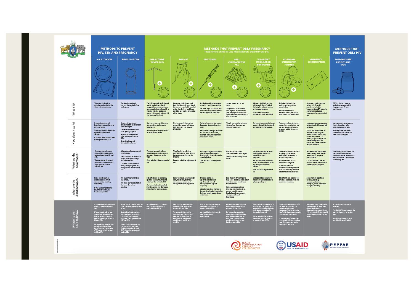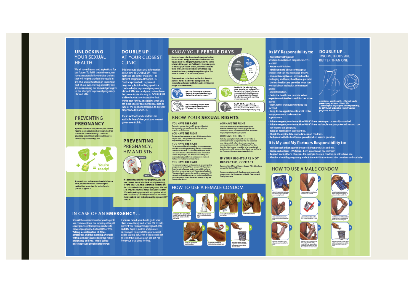#### **UNLOCKING YOUR SEXUAL HEALTH**

We all have dreams and aspirations for our future. To fulfill these dreams, we have a responsibility to make choices. that will help us achieve our goals in life. Our sexual health is an important part of our lives. Having a healthy sex life means using our knowledge to give us the strength to prevent pregnancy, **HIV and STIs** 

#### PREVENTING **PREGNANCY**

If you are sexually active, you and your partner<br>need to speak about whether you are ready or notto have children. Having a child is an emotional commitment and you will need to have money to buy things like:



If you and your partner are not ready to have a<br>child, you should choose a contraceptive method that works best for both of you to prevent pregnancy.

Should the condom burst or you forget to use contraceptives, the morning after pill (emergency contraception) can help to prevent pregnancy, but not HIV or STIs. Taking a combination of ARVs,<br>antibiotics and the morning after pill within 72 hours can reduce the risk of<br>pregnancy and HIV. This is called post-exposure prophylaxis or PEP.

#### **DOUBLE UP AT YOUR CLOSEST CLINIC**

This brochure gives you information about how to DOUBLE UP - two methods are better than one - to prevent pregnancy, HIV and STIs. Contraceptives help to prevent<br>pregnancy, but doubling up with a condom helps to prevent pregnancy, HIV and STIs. You and your partner have the power to decide why to DOUBLE UP and to choose a contraceptive that works best for you. It explains what you can do in case of an emergency, such as<br>rape or the condom breaking, to prevent pregnancy, HIV and STIs.

These methods and condoms are available free of charge at your nearest government clinic.

**PREVENTING** PREGNANCY. **HIV AND STIS** 



In addition to planning your pregnancy, you and your partner should also think about preventing<br>HIV and other STB. Male and female condoms are the only methods that prevent pregnancy, HM and STIs. Knowing your HIV status, being screened for STIs and speaking openly with your partner about<br>your relationship can help you make an informed decision about how to best prevent pregnancy, HIV and STB.

### IN CASE OF AN EMERGENCY...

If you are raped, you should go to your clinic immediately and access PEP to help<br>prevent you from getting pregnant, STIs and HIV. Rape is a crime and you are encouraged to report it to your nearest police station, but, even if you decide not to report the rape, you can still get PEP from your local clinic for free.

### **KNOW YOUR FERTILE DAYS**

A woman's reproductive system is designed so that<br>once a month, an egg leaves one of the ovaries and travels down the fallopian tubes towards the womb (uterus). If the egg is not fertilised by the male sperm at this stage (ovulation phase), the womb sheds its tissue lining, and the blood and unfertilised egg<br>leaves the uterus, passing through the vagina. This hinnd is known as the manstnual neriod

The menstrual cycle starts on the first day of a period - to the start of the next period. The<br>complete cycle may last between 24-28 days (or longer in some women).

Day 1 – 6: The menricual cycle starts –<br>the womb lining and unfertilized egg i<br>shed and the woman has a period. € (雨)

Day 7 - 12: During this time, a new<br>System and the and is made to the<br>System the minimal into the words.

#### **KNOW YOUR SEXUAL RIGHTS**

YOU HAVE THE RIGHT To receive services from health care providers that<br>demonstrates courtery, human dignity, patience,<br>empathy and tolerance.

YOU HAVE THE RIGHT  $\label{thm:main} \begin{minipage}[t]{0.9\linewidth} \begin{minipage}[t]{0.9\linewidth} \begin{minipage}[t]{0.9\linewidth} \begin{minipage}[t]{0.9\linewidth} \begin{minipage}[t]{0.9\linewidth} \begin{minipage}[t]{0.9\linewidth} \begin{minipage}[t]{0.9\linewidth} \begin{minipage}[t]{0.9\linewidth} \end{minipage}[t]{0.9\linewidth} \begin{minipage}[t]{0.9\linewidth} \begin{minipage}[t]{0.9\linewidth} \begin{minipage}[t]{0.9\linewidth} \end{minipage}[t]{0.9\linewidth} \begin{minipage}[t]{0.9\linewidth} \begin$ 

YOU HAVE THE RIGHT To receive confidential courselling for contraceptives<br>and HV courselling and testing without discrimination,<br>coarcion or violence. You should provide your health component of workings. To unnounce providing your neutron<br>care provider with relayed to the structure information<br>as that they can give you the best counseling and<br>information about different contraceptive methods<br>to helpy

YOU HAVE THE RIGHT To receive emergency contraception to prevent getting<br>pregnant and to start ARVs to prevent HIV if you have<br>been forced to have sex against your will, if you have<br>forgetten to use condoms or if the condoms has bunt. Your sexual and reproductive health, pregnancy or HV<br>status is confidential and may not be disclosed without your permission, except if sequined in terms of any law<br>or any order of court.

#### **HOW TO USE A FEMALE CONDOM**



the condom connect puriseds of



### $\frac{Dxy}{7-12}$ Day 12 - 16: This is the Ovulation advice phase, where the egg is released from

now mady to befort had by a spert<br>of no contraceptive method is used this is the time a woman is most like to become pregnanti.

Day 17 – 26: The egg will die off<br>cluring this period if it is not fertilised.<br>The lining of the words this bens and is<br>then shed in the next period (days 1–6). VG.

To lodge a complaint if a health care provider or<br>community health care provider has not respected<br>your rights or tells others about you accessing<br>contraceptives or reveals your HW rights. You also

#### Its MY Responsibility to: **DOUBLE UP -TWO METHODS ARE**

- Protect myself against<br>unwanted/unplanned pregnancies, STIs and HIV.

Know my HIV status. - Find out more about contraceptive choices that suit my needs and lifestyle. - Use contraceptives as advised on the<br>packaging and by my health care provider - Go to a health care provider when I am worried about my health, when I need

and information. - Go to the health care provider when I experience side effects and find out more

about them, rather than just stop using the method.

Keep to my appointments and if I miss my appointment, make another appointment.

- Take emergency contraception/PEP if I have been raped or sexually assaulted.<br>- Take emergency contraception/PEP if I have had unplanned/unprotected sex and I do. not want to get pregnant. Take all medication as prescribed. . Check the expiry date on medicines and condoms.

- Be honest with the health care provider when asked a question.

#### It is My and My Partners Responsibility to:

Protect each other against unwanted pregnancy, STIs and HIV. - Know each others HIV status - both my own and my partners Respect each other's choices - for example: to use a condom or not to have sex. . Plan for a healthy pregnancy and minimise HIV transmission – for ourselves and our baby.

#### **HOW TO USE A MALE CONDOM**





















BETTER THAN ONE

YOU HAVE THE RIGHT To receive information about all contraceptive<br>restheds available to you in a language that you<br>understand and to choose a method that works bust<br>for you to prevent getting pregnant. YOU HAVE THE RIGHT

have the right for your complete to be investigated<br>and to receive a full response. Completes can be filed at<br>the Customer Care services at health facilities.



**IF YOUR RIGHTS ARE NOT** 

**RESPECTED, CONTACT:** 

Customer Care Office or Nurse in Charge. If this fails, please<br>contact the Regional Matron. If you are unable to reach the above-mentioned people please contact the Department of Health, Directorate of<br>Quality Assurance.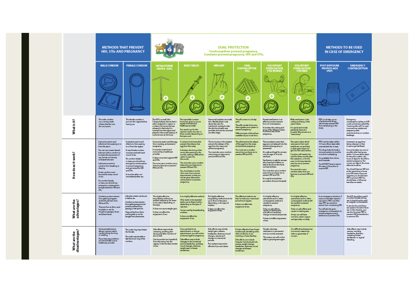|                                 | <b>METHODS THAT PREVENT</b><br><b>HIV. STIS AND PREGNANCY</b>                                                                                                                                                                                                                                                                                                                                                                                                            |                                                                                                                                                                                                                                                                                                                                      | <b>DUAL PROTECTION</b><br><b>Contraceptives prevent pregnancy.</b><br>Condoms prevent pregnancy, HIV and STIs.                                                                                                                                                             |                                                                                                                                                                                                                                                                                                                                                                                                                                          |                                                                                                                                                                                                     |                                                                                                                                                                                                                                                                        |                                                                                                                                                                                                                                                                                                                                                                                                                                                      |                                                                                                                                                                                                                                                                                                                                                                                 | <b>METHODS TO BE USED</b><br><b>IN CASE OF EMERGENCY</b>                                                                                                                                                                                                                                         |                                                                                                                                                                                                                                                                                                                                                                                                                                                                                                                                   |
|---------------------------------|--------------------------------------------------------------------------------------------------------------------------------------------------------------------------------------------------------------------------------------------------------------------------------------------------------------------------------------------------------------------------------------------------------------------------------------------------------------------------|--------------------------------------------------------------------------------------------------------------------------------------------------------------------------------------------------------------------------------------------------------------------------------------------------------------------------------------|----------------------------------------------------------------------------------------------------------------------------------------------------------------------------------------------------------------------------------------------------------------------------|------------------------------------------------------------------------------------------------------------------------------------------------------------------------------------------------------------------------------------------------------------------------------------------------------------------------------------------------------------------------------------------------------------------------------------------|-----------------------------------------------------------------------------------------------------------------------------------------------------------------------------------------------------|------------------------------------------------------------------------------------------------------------------------------------------------------------------------------------------------------------------------------------------------------------------------|------------------------------------------------------------------------------------------------------------------------------------------------------------------------------------------------------------------------------------------------------------------------------------------------------------------------------------------------------------------------------------------------------------------------------------------------------|---------------------------------------------------------------------------------------------------------------------------------------------------------------------------------------------------------------------------------------------------------------------------------------------------------------------------------------------------------------------------------|--------------------------------------------------------------------------------------------------------------------------------------------------------------------------------------------------------------------------------------------------------------------------------------------------|-----------------------------------------------------------------------------------------------------------------------------------------------------------------------------------------------------------------------------------------------------------------------------------------------------------------------------------------------------------------------------------------------------------------------------------------------------------------------------------------------------------------------------------|
|                                 | <b>MALE CONDOM</b>                                                                                                                                                                                                                                                                                                                                                                                                                                                       | <b>FEMALE CONDOM</b>                                                                                                                                                                                                                                                                                                                 | <b>INTRAUTERINE</b><br><b>DEVICE (IUD)</b>                                                                                                                                                                                                                                 | <b>INJECTABLES</b>                                                                                                                                                                                                                                                                                                                                                                                                                       | <b>IMPLANT</b>                                                                                                                                                                                      | <b>ORAL</b><br><b>CONTRACEPTIVE</b><br>PILL                                                                                                                                                                                                                            | <b>VOLUNTARY</b><br>STERILISATION<br><b>FOR WOMEN</b>                                                                                                                                                                                                                                                                                                                                                                                                | <b>VOLUNTARY</b><br><b>STERILISATION</b><br><b>FOR MEN</b>                                                                                                                                                                                                                                                                                                                      | <b>POST-EXPOSURE</b><br><b>PROPHYLAXIS</b><br>(PEP)                                                                                                                                                                                                                                              | <b>EMERGENCY</b><br><b>CONTRACEPTION</b>                                                                                                                                                                                                                                                                                                                                                                                                                                                                                          |
|                                 |                                                                                                                                                                                                                                                                                                                                                                                                                                                                          |                                                                                                                                                                                                                                                                                                                                      | Ð                                                                                                                                                                                                                                                                          | ÷                                                                                                                                                                                                                                                                                                                                                                                                                                        | ÷                                                                                                                                                                                                   | æ                                                                                                                                                                                                                                                                      | コロ<br>æ                                                                                                                                                                                                                                                                                                                                                                                                                                              | ÷                                                                                                                                                                                                                                                                                                                                                                               |                                                                                                                                                                                                                                                                                                  | $\circ$                                                                                                                                                                                                                                                                                                                                                                                                                                                                                                                           |
| What is it?                     | The male condom<br>is a cowring made<br>of latex that fits over<br>the erect penis                                                                                                                                                                                                                                                                                                                                                                                       | The female condom is<br>put into the wagina before<br>having sex.                                                                                                                                                                                                                                                                    | The IUD is a small, thin<br>T-shaped plastic device that is<br>either wrapped in copper or<br>contains hormones that are<br>released in the body. It is<br>inserted into the vagina and<br>placed in the womb (uterus). It<br>is also known as the loop'                   | The injectable contains<br>homones given to you at<br>regular intervals by a<br>with care provides<br>You need to go for the<br>injection every one, two or<br>three months depending on<br>the type used.                                                                                                                                                                                                                               | Hormonal implants are small.<br>thin, flexible plastic rock,<br>about the size of a<br>matchatick, inserted under<br>the skin by a health care<br>provider, and can be removed<br>at a later stage. | The pill comes in a 26-day<br>mark<br>The pills contain hormones<br>that regulate your system to<br>prevent pregnancy.<br>Different types of the pill are<br>a vailable at your local dinic.                                                                           | Fernale stanifization is an<br>effective and permanent<br>form of contraception.<br>It involves the cutting and<br>tying of the fall ppian tubes<br>to prevent any future<br>pregnancy.                                                                                                                                                                                                                                                              | Male sterilization is the<br>cutting and tying of the<br>spenn tubes.<br>It is exick and mostly<br>painlessly done at a<br>hospital Also known as a<br>vasectorny."                                                                                                                                                                                                             | PEP is a 28-day counter<br>of antiretrovisal drugs,<br>which helps prevent HIV<br>from developing in the<br>body                                                                                                                                                                                 | Emergency<br>contraception (either an IUD)<br>or pill sometimes called the<br>"moming after pill") is used<br>to prevent an unplanned<br>pregnancy after<br>unprotected sex or condom<br>breakage.                                                                                                                                                                                                                                                                                                                                |
| How does it work?               | It prevents sperm and<br>infections from pessing to or<br>from the peniu.<br>You can use a water-based<br>lubricant with a condom to<br>increase the enjoyment of<br>sex, but do not use any<br>ail-based lubricant.<br>Lubricants prevents<br>condom from breaking or<br>dipping.<br>A new condom must<br>be used for every round<br>of sex.<br>If a condom breaks<br>or team, you should use.<br>emergency contraception<br>and get tested for HIV and<br>$5\text{Hz}$ | k prevents sperm and<br>infections from passing<br>to or from the wigins.<br>A new female condom<br>nut be used with each<br>round of sex.<br>Fa condom breaks<br>or tears, you should use<br>emergency contraception<br>to prevent pregnancy<br>and get tested for HV<br>and STIs.<br>It must be taken out<br>immediately after sex | It prevents spenn and the egg<br>from meeting, and prevents<br>pregnancy.<br>It must be inserted and<br>removed by a healthcare<br>provider.<br>It does not protect a gainst HIV<br>and STIE.<br>You must use a condom every<br>time you have sex to prevent<br>HVand STIL | It contains hormones that<br>prevent the release of an<br>egg from the overy.<br>It thickers the lining of the<br>cervix (the opening to the<br>wornb), making it difficult for<br>spenn to passinto.<br>the womb<br>You must also use a condom<br>every time you have sex to<br>You should return to the<br>dinic even if you miss an<br>appointment, so that you<br>can be given alternative<br>contraception to prevent<br>pregnancy. | The hormones in the implant<br>prevent the release of the<br>egg from the overy and<br>prevent pregnancy.<br>You must also use a condom<br>every time you have sex to<br>prevent HV and STIs.       | The pill prevents the release<br>of the egg from the overy<br>and prevents pregnancy.<br>You must use a condom<br>every time you have sex to<br>prevent HIV and STIL.                                                                                                  | The procedure means that<br>eggs are not released into the<br>woreb and pregnancy is<br>prevented<br><b>Ku safe and legal for women</b><br>over the age of 18 to be<br>stenilised.<br>Sterilization is safe for women<br>who have had children, as<br>well as for those who have<br>not had children.<br>You must also use a condom<br>every time you have sex to<br>prevent HIV and STIL.<br>Kua quidcand painless<br>properlure done at a hospital | The spenn tubes which<br>carry sperre from each<br>testide are cut and tied.<br>so that spann does not<br>get into the man's semen.<br>Condores still need to be<br>used for three months after<br>the operation, or for the<br>next 15-20 times that the<br>man has sex to prevent<br>pregnancy.<br>You musta loo use a<br>condom every time you<br>have sex to prevent HV and | PEP murt be taken within<br>72 hours (three days) after<br>unprotected sex or rape.<br>The drugshelp the body's<br>immune system to stop the<br>virus from multiplying.<br>Itis a wilsble from dinics<br>and hospitals<br>You DO NOT have to report<br>the rape to the police to<br>neceive PEP. | It prevents an eqq from<br>being released, so that<br>it cannot get fertilised.<br>It must be taken as soon as<br>possible after having sex,<br>within 72 hours (three days)<br>for the pill or within 120<br>hours (5 days) for the IUD to<br>prevent pregnancy. The<br>sooner you take it, the more<br>effective it will be.<br>You should have an HIV test<br>at the same time to know<br>your HW status. Hyou are<br>negative, you should start<br>PEP to prevent HIV You<br>should have a follow-up<br>test after six weeks. |
| What are the<br>advantages?     | Condoms protect women<br>from getting pregnant<br>and both partners from<br><b>HIVandSTIL</b><br>They are free at clinics and<br>hospitals or can be<br>bought at garages, shops<br>and pharmacies.                                                                                                                                                                                                                                                                      | A female condom can be put<br>in halors rac.<br>Conclores protect women<br>from getting pregnant and<br>protects partners from<br>passing on HIV and STIs<br>They are free from clinics<br>and hospitals or can be<br>bought from pharmacies                                                                                         | This highly effective<br>long-lasting method can<br>prevent pregnancy for seven<br>to ten years, depending on<br>the type.<br>It does not cause weight gain<br>It does not affect the<br>enjoyment of sex.                                                                 | It is a highly effective reethod.<br>Only needs to be repeated<br>every one to three months,<br>depending on the type of<br>injection.<br>Can be used by breastfeeding<br>mothers.<br>It does not affect the<br>enjoyment of sex.                                                                                                                                                                                                        | This highly effective<br>long-lasting method works for<br>up to three to five years,<br>depending on the type of<br>implant<br>It does not affect the<br>enjoyment of a                             | This effective method can<br>help to make your menstrus<br>period more regular<br>It does not affect the<br>enjoyment of sex.                                                                                                                                          | It is highly effective,<br>permanent and no other<br>contraceptive resthod is<br>needed to prevent<br>pregnancy.<br>It has no side effects,<br>causes no lasting pain,<br>and will not cause any<br>change to menstrual periods<br>It does not affect enjoyment<br>of sex.                                                                                                                                                                           | It is highly effective,<br>permanent and no other<br><b>I</b> iw borbare avitypestroo<br>be needed to prevent<br>pregnancy.<br>It has no side effects and<br>causes no lasting pain.<br>Amen can atil have<br>erections, reach orgasm<br>and ejaculate normally.                                                                                                                | In an emergency situation, if<br>a person has been reped or<br>exposed to HV in another<br>way, PEP can prevent a<br>person from contracting HIV.<br>You will also be given<br>emergency contraception t<br>prevent pregnancy and<br>antibiotics to prevent STIs.                                | The ECP should be used if<br>a condom breaks during<br>sex.lt should not be used<br>as a regular contraceptive<br>It can also be used if you<br>are raped or forced to have<br>sex. In this situation, you<br>can also be given PEP to<br>prevent HIV and antibiotics<br>to prevent STIs.                                                                                                                                                                                                                                         |
| What are the<br>disadva ntages? | Some people have an<br>alergic reaction which<br>causes itching, burning,<br>or swelling.<br>lfyou have any problems<br>you should talk to your<br>healthcare provider.                                                                                                                                                                                                                                                                                                  | The outer ring may initate<br>the female.<br>The male may be able to<br>final the inner ring of the<br>condom.                                                                                                                                                                                                                       | Side effects may include<br>camping, spotting, pain<br>during and after insertion of<br>the Cu <sup>1</sup> UD<br>Can be pushed out (expelled)<br>from the uterus into the<br>wains, in the first few months<br>of use                                                     | If you are late for an<br>appointment or miss an<br>appointment, you will not be<br>protected against pregnancy.<br>Side effects may include<br>changes to the menstrual<br>period, headaches, spotting.<br>mood changes, dizziness,<br>weight gain or breast<br>tendemess.                                                                                                                                                              | Side effects may include<br>weight gain, sedness,<br>headaches, dizziness, mood<br>changes, neusea and<br>changes to menstrual<br>cerici<br>The implant may not be<br>effective if you are obese.   | It is less effective if you forget<br>to take a pill, are taking some<br>other medicine, or are<br>voniting or have diarrhea.<br>Side effects can include<br>inegular menstrual periods,<br>nausea, weight change,<br>headaches, dizziness, mood<br>changes and breast | Fernale voluntary<br>stenlisation is permanent<br>and cannot be reversed.<br>This means you will not be<br>able to get pregnant again.                                                                                                                                                                                                                                                                                                               | It is difficult and expensive<br>to re wrse a waectory<br>with no quatantee of<br><b>JUCCELL</b>                                                                                                                                                                                                                                                                                |                                                                                                                                                                                                                                                                                                  | Side effects may include<br>nausea, vomiting,<br>headache, dizzineur,<br>cramping, breast<br>tendemess or vaginal<br>bleeding.                                                                                                                                                                                                                                                                                                                                                                                                    |